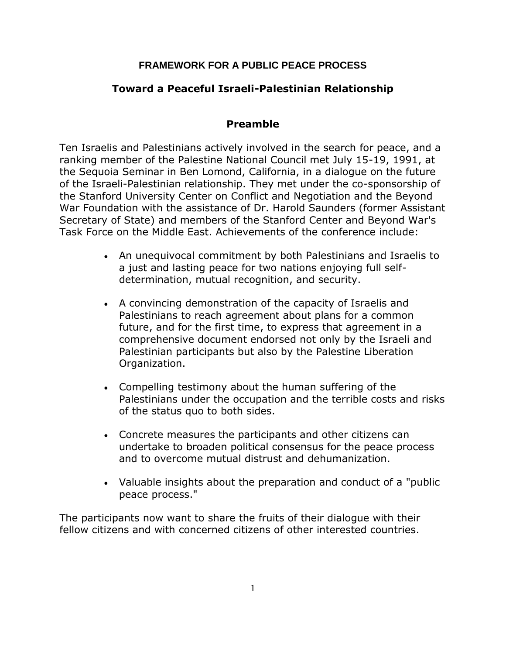## **FRAMEWORK FOR A PUBLIC PEACE PROCESS**

# **Toward a Peaceful Israeli-Palestinian Relationship**

## **Preamble**

Ten Israelis and Palestinians actively involved in the search for peace, and a ranking member of the Palestine National Council met July 15-19, 1991, at the Sequoia Seminar in Ben Lomond, California, in a dialogue on the future of the Israeli-Palestinian relationship. They met under the co-sponsorship of the Stanford University Center on Conflict and Negotiation and the Beyond War Foundation with the assistance of Dr. Harold Saunders (former Assistant Secretary of State) and members of the Stanford Center and Beyond War's Task Force on the Middle East. Achievements of the conference include:

- An unequivocal commitment by both Palestinians and Israelis to a just and lasting peace for two nations enjoying full selfdetermination, mutual recognition, and security.
- A convincing demonstration of the capacity of Israelis and Palestinians to reach agreement about plans for a common future, and for the first time, to express that agreement in a comprehensive document endorsed not only by the Israeli and Palestinian participants but also by the Palestine Liberation Organization.
- Compelling testimony about the human suffering of the Palestinians under the occupation and the terrible costs and risks of the status quo to both sides.
- Concrete measures the participants and other citizens can undertake to broaden political consensus for the peace process and to overcome mutual distrust and dehumanization.
- Valuable insights about the preparation and conduct of a "public peace process."

The participants now want to share the fruits of their dialogue with their fellow citizens and with concerned citizens of other interested countries.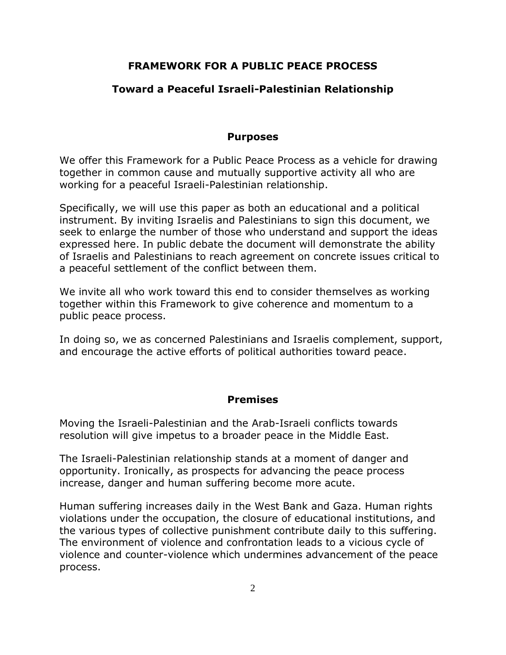## **FRAMEWORK FOR A PUBLIC PEACE PROCESS**

## **Toward a Peaceful Israeli-Palestinian Relationship**

#### **Purposes**

We offer this Framework for a Public Peace Process as a vehicle for drawing together in common cause and mutually supportive activity all who are working for a peaceful Israeli-Palestinian relationship.

Specifically, we will use this paper as both an educational and a political instrument. By inviting Israelis and Palestinians to sign this document, we seek to enlarge the number of those who understand and support the ideas expressed here. In public debate the document will demonstrate the ability of Israelis and Palestinians to reach agreement on concrete issues critical to a peaceful settlement of the conflict between them.

We invite all who work toward this end to consider themselves as working together within this Framework to give coherence and momentum to a public peace process.

In doing so, we as concerned Palestinians and Israelis complement, support, and encourage the active efforts of political authorities toward peace.

#### **Premises**

Moving the Israeli-Palestinian and the Arab-Israeli conflicts towards resolution will give impetus to a broader peace in the Middle East.

The Israeli-Palestinian relationship stands at a moment of danger and opportunity. Ironically, as prospects for advancing the peace process increase, danger and human suffering become more acute.

Human suffering increases daily in the West Bank and Gaza. Human rights violations under the occupation, the closure of educational institutions, and the various types of collective punishment contribute daily to this suffering. The environment of violence and confrontation leads to a vicious cycle of violence and counter-violence which undermines advancement of the peace process.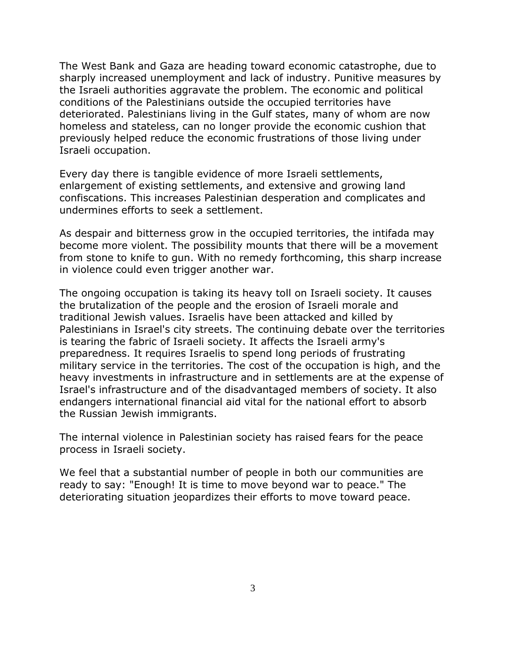The West Bank and Gaza are heading toward economic catastrophe, due to sharply increased unemployment and lack of industry. Punitive measures by the Israeli authorities aggravate the problem. The economic and political conditions of the Palestinians outside the occupied territories have deteriorated. Palestinians living in the Gulf states, many of whom are now homeless and stateless, can no longer provide the economic cushion that previously helped reduce the economic frustrations of those living under Israeli occupation.

Every day there is tangible evidence of more Israeli settlements, enlargement of existing settlements, and extensive and growing land confiscations. This increases Palestinian desperation and complicates and undermines efforts to seek a settlement.

As despair and bitterness grow in the occupied territories, the intifada may become more violent. The possibility mounts that there will be a movement from stone to knife to gun. With no remedy forthcoming, this sharp increase in violence could even trigger another war.

The ongoing occupation is taking its heavy toll on Israeli society. It causes the brutalization of the people and the erosion of Israeli morale and traditional Jewish values. Israelis have been attacked and killed by Palestinians in Israel's city streets. The continuing debate over the territories is tearing the fabric of Israeli society. It affects the Israeli army's preparedness. It requires Israelis to spend long periods of frustrating military service in the territories. The cost of the occupation is high, and the heavy investments in infrastructure and in settlements are at the expense of Israel's infrastructure and of the disadvantaged members of society. It also endangers international financial aid vital for the national effort to absorb the Russian Jewish immigrants.

The internal violence in Palestinian society has raised fears for the peace process in Israeli society.

We feel that a substantial number of people in both our communities are ready to say: "Enough! It is time to move beyond war to peace." The deteriorating situation jeopardizes their efforts to move toward peace.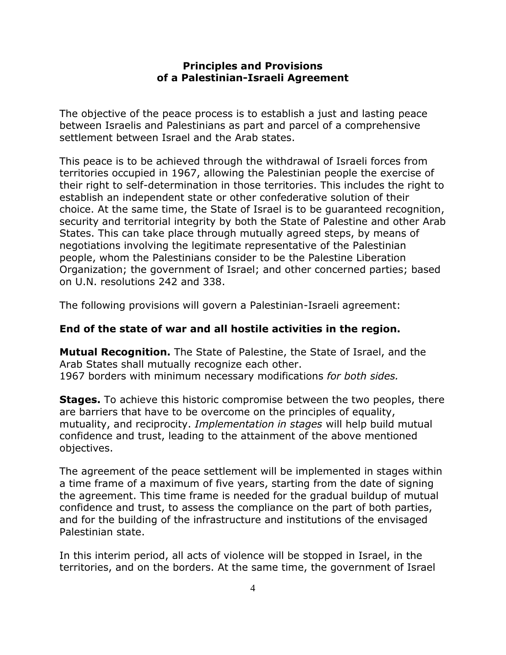#### **Principles and Provisions of a Palestinian-Israeli Agreement**

The objective of the peace process is to establish a just and lasting peace between Israelis and Palestinians as part and parcel of a comprehensive settlement between Israel and the Arab states.

This peace is to be achieved through the withdrawal of Israeli forces from territories occupied in 1967, allowing the Palestinian people the exercise of their right to self-determination in those territories. This includes the right to establish an independent state or other confederative solution of their choice. At the same time, the State of Israel is to be guaranteed recognition, security and territorial integrity by both the State of Palestine and other Arab States. This can take place through mutually agreed steps, by means of negotiations involving the legitimate representative of the Palestinian people, whom the Palestinians consider to be the Palestine Liberation Organization; the government of Israel; and other concerned parties; based on U.N. resolutions 242 and 338.

The following provisions will govern a Palestinian-Israeli agreement:

#### **End of the state of war and all hostile activities in the region.**

**Mutual Recognition.** The State of Palestine, the State of Israel, and the Arab States shall mutually recognize each other. 1967 borders with minimum necessary modifications *for both sides.*

**Stages.** To achieve this historic compromise between the two peoples, there are barriers that have to be overcome on the principles of equality, mutuality, and reciprocity. *Implementation in stages* will help build mutual confidence and trust, leading to the attainment of the above mentioned objectives.

The agreement of the peace settlement will be implemented in stages within a time frame of a maximum of five years, starting from the date of signing the agreement. This time frame is needed for the gradual buildup of mutual confidence and trust, to assess the compliance on the part of both parties, and for the building of the infrastructure and institutions of the envisaged Palestinian state.

In this interim period, all acts of violence will be stopped in Israel, in the territories, and on the borders. At the same time, the government of Israel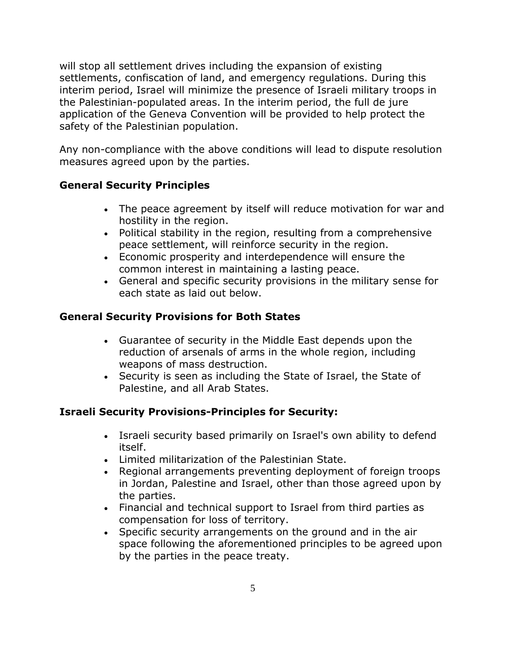will stop all settlement drives including the expansion of existing settlements, confiscation of land, and emergency regulations. During this interim period, Israel will minimize the presence of Israeli military troops in the Palestinian-populated areas. In the interim period, the full de jure application of the Geneva Convention will be provided to help protect the safety of the Palestinian population.

Any non-compliance with the above conditions will lead to dispute resolution measures agreed upon by the parties.

# **General Security Principles**

- The peace agreement by itself will reduce motivation for war and hostility in the region.
- Political stability in the region, resulting from a comprehensive peace settlement, will reinforce security in the region.
- Economic prosperity and interdependence will ensure the common interest in maintaining a lasting peace.
- General and specific security provisions in the military sense for each state as laid out below.

# **General Security Provisions for Both States**

- Guarantee of security in the Middle East depends upon the reduction of arsenals of arms in the whole region, including weapons of mass destruction.
- Security is seen as including the State of Israel, the State of Palestine, and all Arab States.

# **Israeli Security Provisions-Principles for Security:**

- Israeli security based primarily on Israel's own ability to defend itself.
- Limited militarization of the Palestinian State.
- Regional arrangements preventing deployment of foreign troops in Jordan, Palestine and Israel, other than those agreed upon by the parties.
- Financial and technical support to Israel from third parties as compensation for loss of territory.
- Specific security arrangements on the ground and in the air space following the aforementioned principles to be agreed upon by the parties in the peace treaty.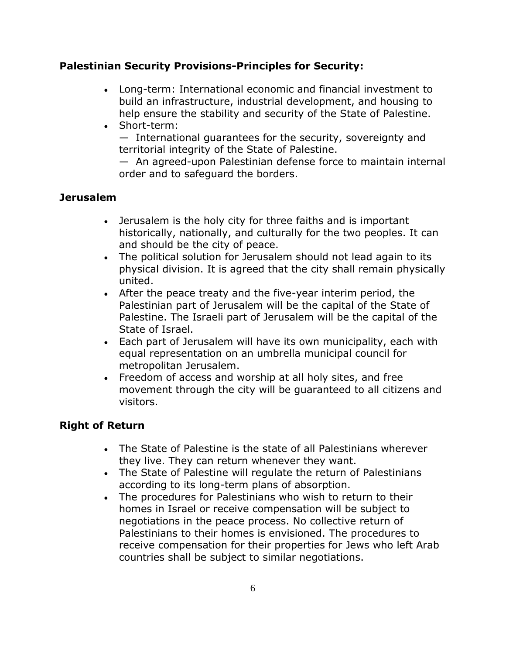## **Palestinian Security Provisions-Principles for Security:**

- Long-term: International economic and financial investment to build an infrastructure, industrial development, and housing to help ensure the stability and security of the State of Palestine.
- Short-term:

— International guarantees for the security, sovereignty and territorial integrity of the State of Palestine.

— An agreed-upon Palestinian defense force to maintain internal order and to safeguard the borders.

## **Jerusalem**

- Jerusalem is the holy city for three faiths and is important historically, nationally, and culturally for the two peoples. It can and should be the city of peace.
- The political solution for Jerusalem should not lead again to its physical division. It is agreed that the city shall remain physically united.
- After the peace treaty and the five-year interim period, the Palestinian part of Jerusalem will be the capital of the State of Palestine. The Israeli part of Jerusalem will be the capital of the State of Israel.
- Each part of Jerusalem will have its own municipality, each with equal representation on an umbrella municipal council for metropolitan Jerusalem.
- Freedom of access and worship at all holy sites, and free movement through the city will be guaranteed to all citizens and visitors.

# **Right of Return**

- The State of Palestine is the state of all Palestinians wherever they live. They can return whenever they want.
- The State of Palestine will regulate the return of Palestinians according to its long-term plans of absorption.
- The procedures for Palestinians who wish to return to their homes in Israel or receive compensation will be subject to negotiations in the peace process. No collective return of Palestinians to their homes is envisioned. The procedures to receive compensation for their properties for Jews who left Arab countries shall be subject to similar negotiations.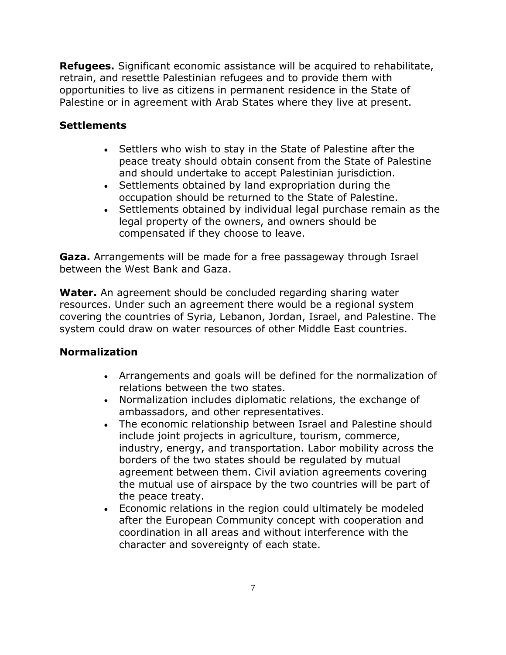**Refugees.** Significant economic assistance will be acquired to rehabilitate, retrain, and resettle Palestinian refugees and to provide them with opportunities to live as citizens in permanent residence in the State of Palestine or in agreement with Arab States where they live at present.

## **Settlements**

- Settlers who wish to stay in the State of Palestine after the peace treaty should obtain consent from the State of Palestine and should undertake to accept Palestinian jurisdiction.
- Settlements obtained by land expropriation during the occupation should be returned to the State of Palestine.
- Settlements obtained by individual legal purchase remain as the legal property of the owners, and owners should be compensated if they choose to leave.

**Gaza.** Arrangements will be made for a free passageway through Israel between the West Bank and Gaza.

**Water.** An agreement should be concluded regarding sharing water resources. Under such an agreement there would be a regional system covering the countries of Syria, Lebanon, Jordan, Israel, and Palestine. The system could draw on water resources of other Middle East countries.

#### **Normalization**

- Arrangements and goals will be defined for the normalization of relations between the two states.
- Normalization includes diplomatic relations, the exchange of ambassadors, and other representatives.
- The economic relationship between Israel and Palestine should include joint projects in agriculture, tourism, commerce, industry, energy, and transportation. Labor mobility across the borders of the two states should be regulated by mutual agreement between them. Civil aviation agreements covering the mutual use of airspace by the two countries will be part of the peace treaty.
- Economic relations in the region could ultimately be modeled after the European Community concept with cooperation and coordination in all areas and without interference with the character and sovereignty of each state.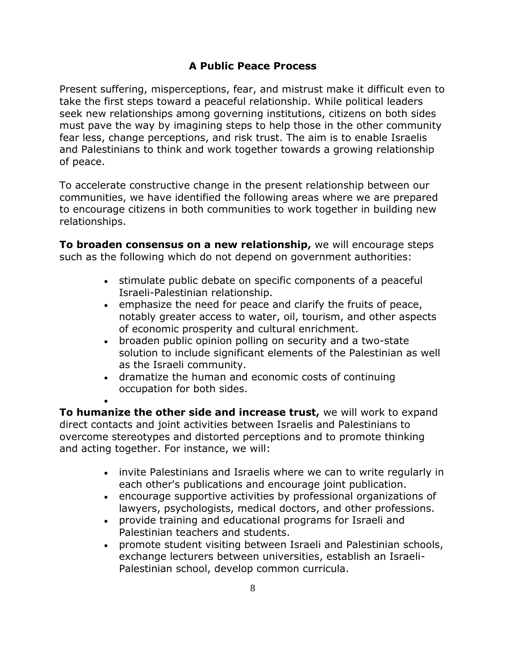# **A Public Peace Process**

Present suffering, misperceptions, fear, and mistrust make it difficult even to take the first steps toward a peaceful relationship. While political leaders seek new relationships among governing institutions, citizens on both sides must pave the way by imagining steps to help those in the other community fear less, change perceptions, and risk trust. The aim is to enable Israelis and Palestinians to think and work together towards a growing relationship of peace.

To accelerate constructive change in the present relationship between our communities, we have identified the following areas where we are prepared to encourage citizens in both communities to work together in building new relationships.

**To broaden consensus on a new relationship,** we will encourage steps such as the following which do not depend on government authorities:

- stimulate public debate on specific components of a peaceful Israeli-Palestinian relationship.
- emphasize the need for peace and clarify the fruits of peace, notably greater access to water, oil, tourism, and other aspects of economic prosperity and cultural enrichment.
- broaden public opinion polling on security and a two-state solution to include significant elements of the Palestinian as well as the Israeli community.
- dramatize the human and economic costs of continuing occupation for both sides.

 $\bullet$ 

**To humanize the other side and increase trust,** we will work to expand direct contacts and joint activities between Israelis and Palestinians to overcome stereotypes and distorted perceptions and to promote thinking and acting together. For instance, we will:

- invite Palestinians and Israelis where we can to write regularly in each other's publications and encourage joint publication.
- encourage supportive activities by professional organizations of lawyers, psychologists, medical doctors, and other professions.
- provide training and educational programs for Israeli and Palestinian teachers and students.
- promote student visiting between Israeli and Palestinian schools, exchange lecturers between universities, establish an Israeli-Palestinian school, develop common curricula.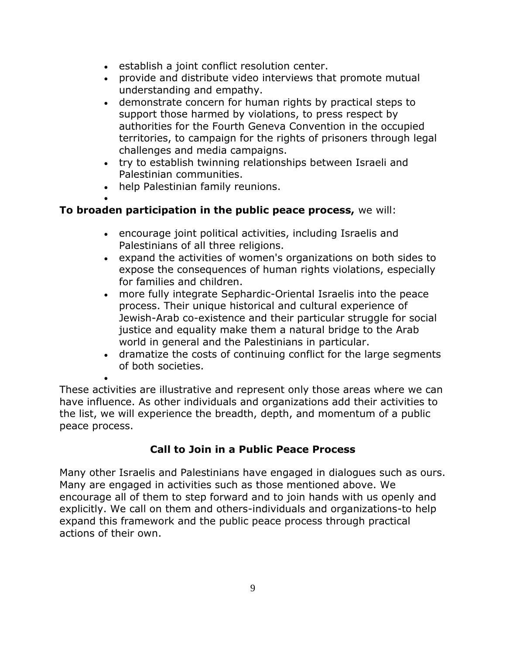- establish a joint conflict resolution center.
- provide and distribute video interviews that promote mutual understanding and empathy.
- demonstrate concern for human rights by practical steps to support those harmed by violations, to press respect by authorities for the Fourth Geneva Convention in the occupied territories, to campaign for the rights of prisoners through legal challenges and media campaigns.
- try to establish twinning relationships between Israeli and Palestinian communities.
- help Palestinian family reunions.

 $\bullet$ 

# **To broaden participation in the public peace process,** we will:

- encourage joint political activities, including Israelis and Palestinians of all three religions.
- expand the activities of women's organizations on both sides to expose the consequences of human rights violations, especially for families and children.
- more fully integrate Sephardic-Oriental Israelis into the peace process. Their unique historical and cultural experience of Jewish-Arab co-existence and their particular struggle for social justice and equality make them a natural bridge to the Arab world in general and the Palestinians in particular.
- dramatize the costs of continuing conflict for the large segments of both societies.

 $\bullet$ These activities are illustrative and represent only those areas where we can have influence. As other individuals and organizations add their activities to the list, we will experience the breadth, depth, and momentum of a public peace process.

# **Call to Join in a Public Peace Process**

Many other Israelis and Palestinians have engaged in dialogues such as ours. Many are engaged in activities such as those mentioned above. We encourage all of them to step forward and to join hands with us openly and explicitly. We call on them and others-individuals and organizations-to help expand this framework and the public peace process through practical actions of their own.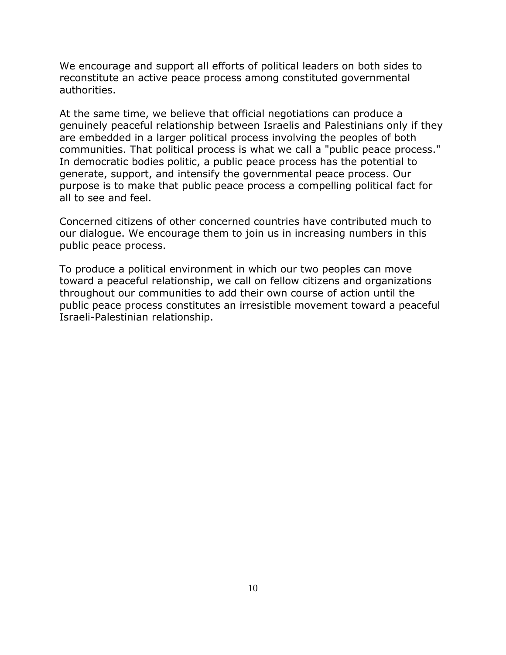We encourage and support all efforts of political leaders on both sides to reconstitute an active peace process among constituted governmental authorities.

At the same time, we believe that official negotiations can produce a genuinely peaceful relationship between Israelis and Palestinians only if they are embedded in a larger political process involving the peoples of both communities. That political process is what we call a "public peace process." In democratic bodies politic, a public peace process has the potential to generate, support, and intensify the governmental peace process. Our purpose is to make that public peace process a compelling political fact for all to see and feel.

Concerned citizens of other concerned countries have contributed much to our dialogue. We encourage them to join us in increasing numbers in this public peace process.

To produce a political environment in which our two peoples can move toward a peaceful relationship, we call on fellow citizens and organizations throughout our communities to add their own course of action until the public peace process constitutes an irresistible movement toward a peaceful Israeli-Palestinian relationship.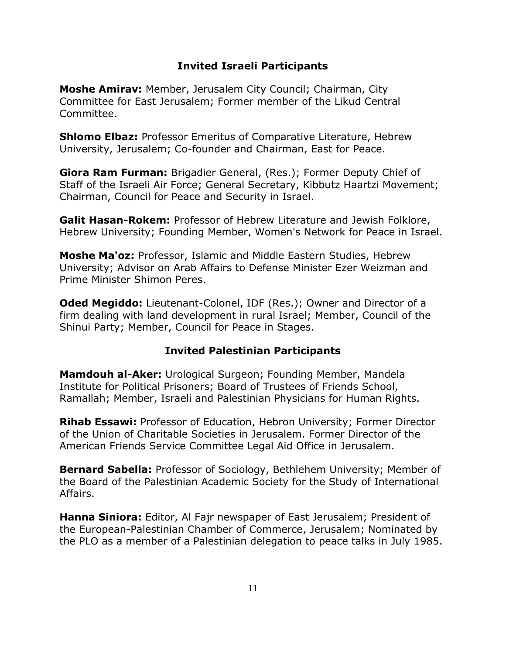#### **Invited Israeli Participants**

**Moshe Amirav:** Member, Jerusalem City Council; Chairman, City Committee for East Jerusalem; Former member of the Likud Central Committee.

**Shlomo Elbaz:** Professor Emeritus of Comparative Literature, Hebrew University, Jerusalem; Co-founder and Chairman, East for Peace.

**Giora Ram Furman:** Brigadier General, (Res.); Former Deputy Chief of Staff of the Israeli Air Force; General Secretary, Kibbutz Haartzi Movement; Chairman, Council for Peace and Security in Israel.

**Galit Hasan-Rokem:** Professor of Hebrew Literature and Jewish Folklore, Hebrew University; Founding Member, Women's Network for Peace in Israel.

**Moshe Ma'oz:** Professor, Islamic and Middle Eastern Studies, Hebrew University; Advisor on Arab Affairs to Defense Minister Ezer Weizman and Prime Minister Shimon Peres.

**Oded Megiddo:** Lieutenant-Colonel, IDF (Res.); Owner and Director of a firm dealing with land development in rural Israel; Member, Council of the Shinui Party; Member, Council for Peace in Stages.

# **Invited Palestinian Participants**

**Mamdouh al-Aker:** Urological Surgeon; Founding Member, Mandela Institute for Political Prisoners; Board of Trustees of Friends School, Ramallah; Member, Israeli and Palestinian Physicians for Human Rights.

**Rihab Essawi:** Professor of Education, Hebron University; Former Director of the Union of Charitable Societies in Jerusalem. Former Director of the American Friends Service Committee Legal Aid Office in Jerusalem.

**Bernard Sabella:** Professor of Sociology, Bethlehem University; Member of the Board of the Palestinian Academic Society for the Study of International Affairs.

**Hanna Siniora:** Editor, Al Fajr newspaper of East Jerusalem; President of the European-Palestinian Chamber of Commerce, Jerusalem; Nominated by the PLO as a member of a Palestinian delegation to peace talks in July 1985.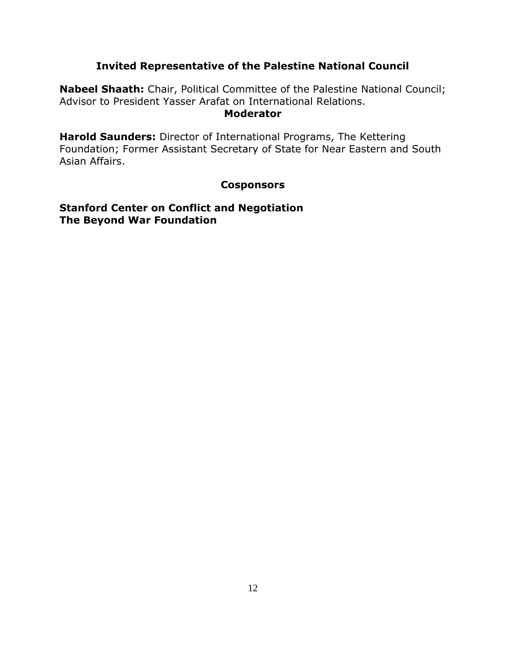#### **Invited Representative of the Palestine National Council**

**Nabeel Shaath:** Chair, Political Committee of the Palestine National Council; Advisor to President Yasser Arafat on International Relations. **Moderator** 

**Harold Saunders:** Director of International Programs, The Kettering Foundation; Former Assistant Secretary of State for Near Eastern and South Asian Affairs.

#### **Cosponsors**

**Stanford Center on Conflict and Negotiation The Beyond War Foundation**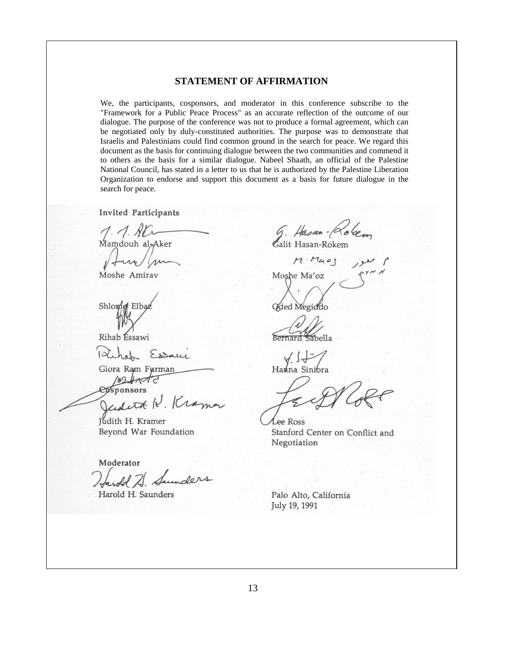#### **STATEMENT OF AFFIRMATION**

We, the participants, cosponsors, and moderator in this conference subscribe to the "Framework for a Public Peace Process" as an accurate reflection of the outcome of our dialogue. The purpose of the conference was not to produce a formal agreement, which can be negotiated only by duly-constituted authorities. The purpose was to demonstrate that Israelis and Palestinians could find common ground in the search for peace. We regard this document as the basis for continuing dialogue between the two communities and commend it to others as the basis for a similar dialogue. Nabeel Shaath, an official of the Palestine National Council, has stated in a letter to us that he is authorized by the Palestine Liberation Organization to endorse and support this document as a basis for future dialogue in the search for peace.

**Invited Participants** 

Mamdouh al<sub>7</sub>Aker

Moshe Amirav

Shlopig Elba

Rihab Essawi

Essam

Giora Ram Furman

ponsors

Judith H. Kramer Beyond War Foundation

Moderator

old 7. Sunders Harold H. Saunders

G. Hasan-Roben

 $M \cdot M \omega_3$  jee Moshe Ma'oz Oded Megiddo

Bernard Sabella

 $\sqrt{1}$ Hanna Sinibra

**Lee Ross** Stanford Center on Conflict and Negotiation

Palo Alto, California July 19, 1991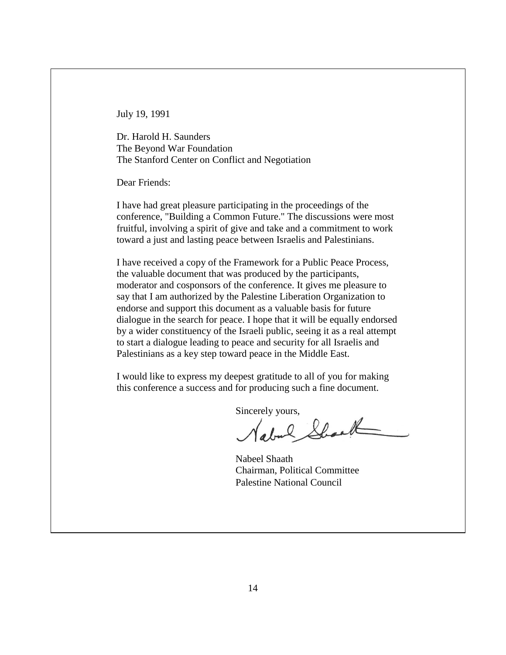July 19, 1991

Dr. Harold H. Saunders The Beyond War Foundation The Stanford Center on Conflict and Negotiation

Dear Friends:

I have had great pleasure participating in the proceedings of the conference, "Building a Common Future." The discussions were most fruitful, involving a spirit of give and take and a commitment to work toward a just and lasting peace between Israelis and Palestinians.

I have received a copy of the Framework for a Public Peace Process, the valuable document that was produced by the participants, moderator and cosponsors of the conference. It gives me pleasure to say that I am authorized by the Palestine Liberation Organization to endorse and support this document as a valuable basis for future dialogue in the search for peace. I hope that it will be equally endorsed by a wider constituency of the Israeli public, seeing it as a real attempt to start a dialogue leading to peace and security for all Israelis and Palestinians as a key step toward peace in the Middle East.

I would like to express my deepest gratitude to all of you for making this conference a success and for producing such a fine document.

Sincerely yours,

Nabeel Shaath Chairman, Political Committee Palestine National Council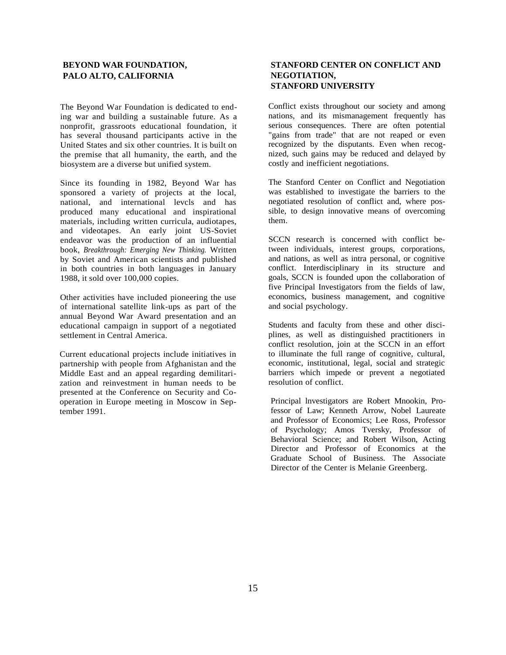#### **BEYOND WAR FOUNDATION, PALO ALTO, CALIFORNIA**

The Beyond War Foundation is dedicated to ending war and building a sustainable future. As a nonprofit, grassroots educational foundation, it has several thousand participants active in the United States and six other countries. It is built on the premise that all humanity, the earth, and the biosystem are a diverse but unified system.

Since its founding in 1982, Beyond War has sponsored a variety of projects at the local, national, and international levcls and has produced many educational and inspirational materials, including written curricula, audiotapes, and videotapes. An early joint US-Soviet endeavor was the production of an influential book, *Breakthrough: Emerging New Thinking.* Written by Soviet and American scientists and published in both countries in both languages in January 1988, it sold over 100,000 copies.

Other activities have included pioneering the use of international satellite link-ups as part of the annual Beyond War Award presentation and an educational campaign in support of a negotiated settlement in Central America.

Current educational projects include initiatives in partnership with people from Afghanistan and the Middle East and an appeal regarding demilitarization and reinvestment in human needs to be presented at the Conference on Security and Cooperation in Europe meeting in Moscow in September 1991.

#### **STANFORD CENTER ON CONFLICT AND NEGOTIATION, STANFORD UNIVERSITY**

Conflict exists throughout our society and among nations, and its mismanagement frequently has serious consequences. There are often potential "gains from trade" that are not reaped or even recognized by the disputants. Even when recognized, such gains may be reduced and delayed by costly and inefficient negotiations.

The Stanford Center on Conflict and Negotiation was established to investigate the barriers to the negotiated resolution of conflict and, where possible, to design innovative means of overcoming them.

SCCN research is concerned with conflict between individuals, interest groups, corporations, and nations, as well as intra personal, or cognitive conflict. Interdisciplinary in its structure and goals, SCCN is founded upon the collaboration of five Principal Investigators from the fields of law, economics, business management, and cognitive and social psychology.

Students and faculty from these and other disciplines, as well as distinguished practitioners in conflict resolution, join at the SCCN in an effort to illuminate the full range of cognitive, cultural, economic, institutional, legal, social and strategic barriers which impede or prevent a negotiated resolution of conflict.

Principal lnvestigators are Robert Mnookin, Professor of Law; Kenneth Arrow, Nobel Laureate and Professor of Economics; Lee Ross, Professor of Psychology; Amos Tversky, Professor of Behavioral Science; and Robert Wilson, Acting Director and Professor of Economics at the Graduate School of Business. The Associate Director of the Center is Melanie Greenberg.